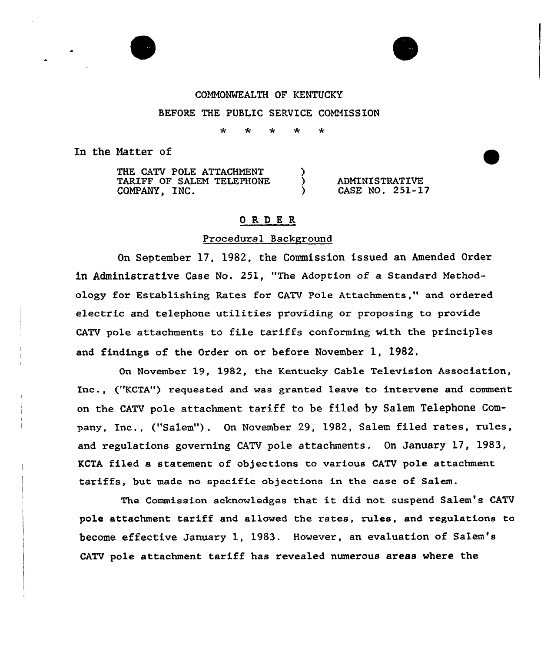### COMMONWEALTH OF KENTUCKY

### BEFORE THE PUBLIC SERVICE COMNISSION

 $\star$ 

In the Natter of

THE CATV POLE ATTACHMENT TARIFF OF SALEM TELEPHONE Y ADMINISTRATIVE<br>CASE NO. 251-17 COMPANY, INC.  $\lambda$ 

## ORDER

### Procedural Background

On September 17, 1982, the Commission issued an Amended Ordex in Administrative Case No. 251, "The Adoption of a Standard Methodology fox Establishing Rates for CATV Pole Attachments," and ordered electric and telephone utilities providing or proposing to provide CATV pole attachments to file tariffs conforming with the pxinciples and findings of the Order on or befoxe November 1, 1982.

Gn November 19, 1982, the Kentucky Cable Television Association, Inc., ("KCTA") xequested and was granted leave to intervene and comment on the CATV pole attachment tariff to be filed by Salem Telephone Company, Inc., ("Salem"). On November 29, 1982, Salem filed rates, rules, and regulations governing CATV pole attachments. On January 17, 1983, KCTA filed a statement of objections to various CATV pole attachment tariffs, but made no specific objections in the case of Salem.

The Commission acknowledges that it did not suspend Salem's CATV pole attachment tariff and allowed the rates, rules, and regulations to become effective January 1, 1983. Howevex, an evaluation of Salem's CATV pole attachment tariff has revealed numerous areas where the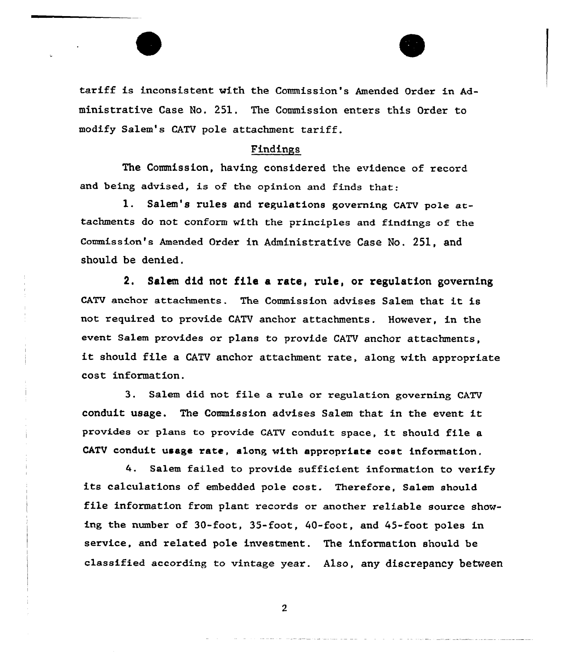tariff is inconsistent with the Commission's Amended Order in Administrative Case Ho. 251, The Commission enters this Oxdex to modify Salem's CATV pole attachment tariff.

## Findinps

The Commission, having considered the evidence of record. and being advised, is of the opinion and finds that:

1. Salem's rules and regulations governing CATV pole attachments do not conform with the principles and findings of the conanission's Amended Order in Administrative Case No. 251, and should be denied.

2. Salen did not file a rate, rule, or regulation governing CATV anchor attachments. The Commission advises Salem that it is not required to provide CATV anchor attachments. However, in the event Salem provides or plans to provide CATV anchor attachments, it should file <sup>a</sup> CATV anchor attachment rate, along with appropriate cost information.

3. Salem did not file a xule or regulation govexning CATV conduit usage. The Commission advises Salem that in the event it provides or plans to provide CATV conduit space, it should file <sup>a</sup> CATV conduit usage xate, along with appropriate cost information.

4. Salem failed to provide sufficient information to verify its calculations of embedded pole cost. Therefore, Salem should file information from plant records or another reliable source showing the number of  $30$ -foot,  $35$ -foot,  $40$ -foot, and  $45$ -foot poles in sexvice, and related pole investment. The information should be classified according to vintage year. Also, any discrepancy between

 $2<sup>1</sup>$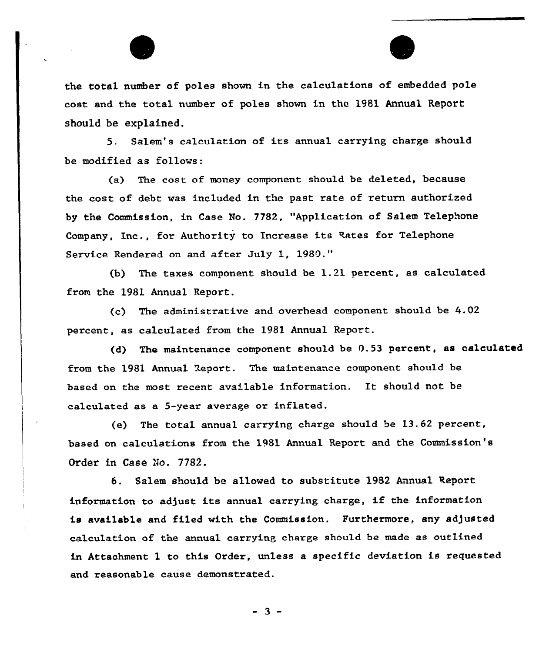# the total number of poles shown in the calculations of embedded pole cost and the total number of poles shown in the 1981 Annual Report should be explained.

5. Salem's calculation of its annual carrying charge should be modified as follows:

(a) The cost of money component should be deleted, because the cost of debt was included in the past rate of return authorized by the Commission, in Case No. 7782, "Application of Salem Telephone Company, Inc., for Authority to Increase its Rates for Telephone Service Rendered on and after July 1, 1989."

{b) The taxes component should be 1.21 percent, as calculated from the 1981 Annual Report.

(c) The administrative and -overhead component should be 4.02 percent, as calculated from the 1981 Annual. Report.

(d) The maintenance component should be 0.53 percent, as calculated from the 1981 Annual Report. The maintenance component should be based on the most recent available information. It should not be calculated as a 5-year average or inflated.

(e) The total annual carrying charge should be 13.62 percent, based on calculations from the 1981 Annual Report and the Commission's Order in Case No. 7782.

6. Salem should be allowed to substitute 1982 Annual Report information to adjust its annual carrying charge, if the information is available and filed with the Commission. Furthermore, any adjusted calculation of the annual carrying charge should be made as outlined in Attachment 1 to this Order, unless a specific deviation is requested and reasonable cause demonstrated.

 $-3 -$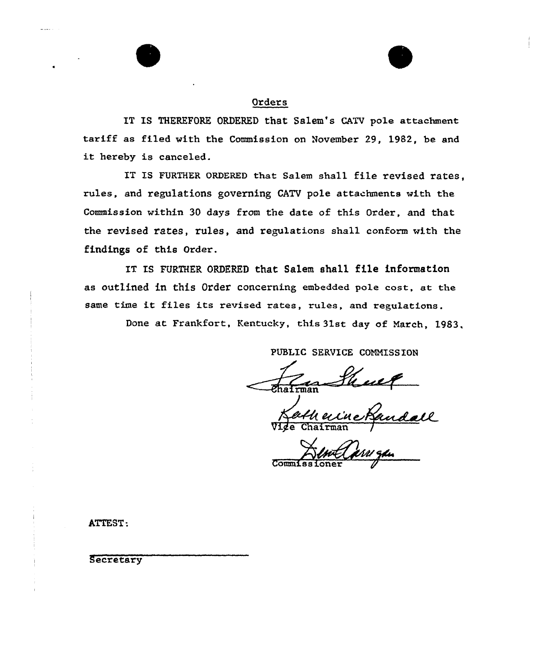## Orders

IT IS THEREFORE ORDERED that Salem's CATV pole attachment tariff as filed with the Commission on november 29, 1982, be and it hereby is canceled.

IT IS FURTHER ORDERED that Salem sha11 file revised rates, rules, and regulations governing CATV pole attachments with the Commission within 30 days from the date of this Order, and that the revised rates, rules, and regulations shall conform with the findings of this Order.

IT IS FURTHER ORDERED that Salem shall file information as outlined in this Order concerning embedded pole cost, at the same time it files its revised rates, rules, and regulations.

Done at Frankfort, Kentucky, this 31st day of March, 1983,

PUBLIC SERVICE COMMISSION

er Vige Chairman /

Commissione

ATTEST.

 $\frac{1}{2} \frac{1}{2} \frac{1}{2} \frac{1}{2} \frac{1}{2} \frac{1}{2} \frac{1}{2} \frac{1}{2} \frac{1}{2} \frac{1}{2} \frac{1}{2} \frac{1}{2} \frac{1}{2} \frac{1}{2} \frac{1}{2} \frac{1}{2} \frac{1}{2} \frac{1}{2} \frac{1}{2} \frac{1}{2} \frac{1}{2} \frac{1}{2} \frac{1}{2} \frac{1}{2} \frac{1}{2} \frac{1}{2} \frac{1}{2} \frac{1}{2} \frac{1}{2} \frac{1}{2} \frac{1}{2} \frac{$ 

Secretary